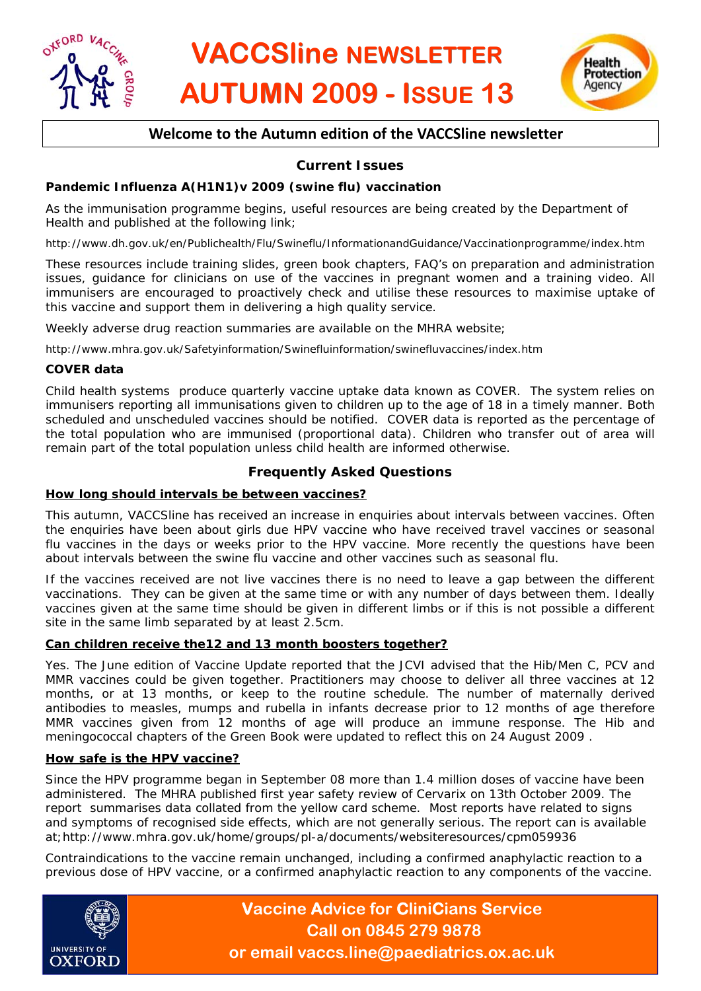



# **Welcome to the Autumn edition of the VACCSline newsletter**

# **Current Issues**

# **Pandemic Influenza A(H1N1)v 2009 (swine flu) vaccination**

As the immunisation programme begins, useful resources are being created by the Department of Health and published at the following link;

http://www.dh.gov.uk/en/Publichealth/Flu/Swineflu/InformationandGuidance/Vaccinationprogramme/index.htm

These resources include training slides, green book chapters, FAQ's on preparation and administration issues, guidance for clinicians on use of the vaccines in pregnant women and a training video. All immunisers are encouraged to proactively check and utilise these resources to maximise uptake of this vaccine and support them in delivering a high quality service.

Weekly adverse drug reaction summaries are available on the MHRA website;

http://www.mhra.gov.uk/Safetyinformation/Swinefluinformation/swinefluvaccines/index.htm

#### **COVER data**

Child health systems produce quarterly vaccine uptake data known as COVER. The system relies on immunisers reporting all immunisations given to children up to the age of 18 in a timely manner. Both scheduled and unscheduled vaccines should be notified. COVER data is reported as the percentage of the total population who are immunised (proportional data). Children who transfer out of area will remain part of the total population unless child health are informed otherwise.

# **Frequently Asked Questions**

#### **How long should intervals be between vaccines?**

This autumn, VACCSline has received an increase in enquiries about intervals between vaccines. Often the enquiries have been about girls due HPV vaccine who have received travel vaccines or seasonal flu vaccines in the days or weeks prior to the HPV vaccine. More recently the questions have been about intervals between the swine flu vaccine and other vaccines such as seasonal flu.

If the vaccines received are not live vaccines there is no need to leave a gap between the different vaccinations. They can be given at the same time or with any number of days between them. Ideally vaccines given at the same time should be given in different limbs or if this is not possible a different site in the same limb separated by at least 2.5cm.

# **Can children receive the12 and 13 month boosters together?**

Yes. The June edition of *Vaccine Update* reported that the JCVI advised that the Hib/Men C, PCV and MMR vaccines could be given together. Practitioners may choose to deliver all three vaccines at 12 months, or at 13 months, or keep to the routine schedule. The number of maternally derived antibodies to measles, mumps and rubella in infants decrease prior to 12 months of age therefore MMR vaccines given from 12 months of age will produce an immune response. The Hib and meningococcal chapters of the Green Book were updated to reflect this on 24 August 2009 .

#### **How safe is the HPV vaccine?**

Since the HPV programme began in September 08 more than 1.4 million doses of vaccine have been administered. The MHRA published first year safety review of Cervarix on 13th October 2009. The report summarises data collated from the yellow card scheme. Most reports have related to signs and symptoms of recognised side effects, which are not generally serious. The report can is available at;http://www.mhra.gov.uk/home/groups/pl-a/documents/websiteresources/cpm059936

Contraindications to the vaccine remain unchanged, including a confirmed anaphylactic reaction to a previous dose of HPV vaccine, or a confirmed anaphylactic reaction to any components of the vaccine.



**Vaccine Advice for CliniCians Service Call on 0845 279 9878 or email vaccs.line@paediatrics.ox.ac.uk**